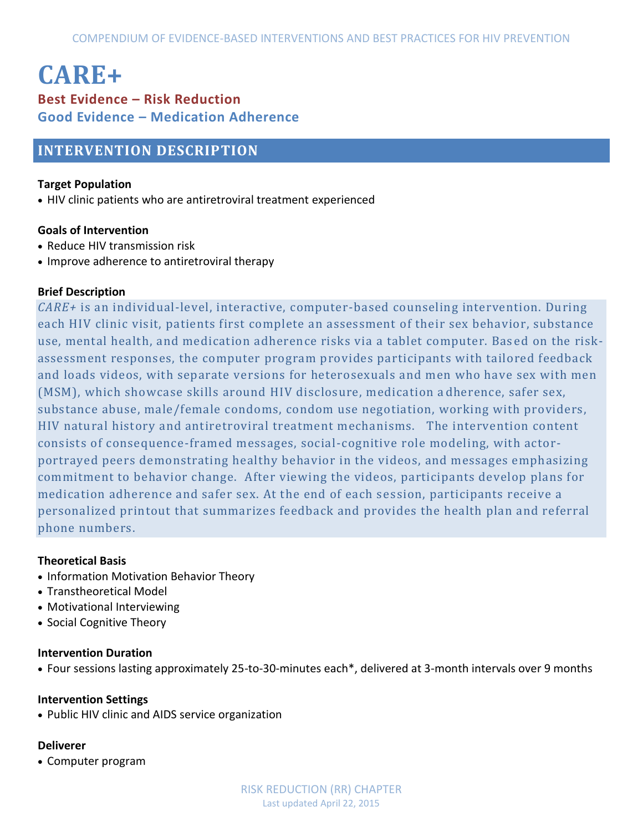# **CARE+ Best Evidence – Risk Reduction Good Evidence – Medication Adherence**

# **INTERVENTION DESCRIPTION**

#### **Target Population**

HIV clinic patients who are antiretroviral treatment experienced

#### **Goals of Intervention**

- Reduce HIV transmission risk
- Improve adherence to antiretroviral therapy

#### **Brief Description**

*CARE+* is an individual-level, interactive, computer-based counseling intervention. During each HIV clinic visit, patients first complete an assessment of their sex behavior, substance use, mental health, and medication adherence risks via a tablet computer. Bas ed on the riskassessment responses, the computer program provides participants with tailored feedback and loads videos, with separate versions for heterosexuals and men who have sex with men (MSM), which showcase skills around HIV disclosure, medication a dherence, safer sex, substance abuse, male/female condoms, condom use negotiation, working with providers, HIV natural history and antiretroviral treatment mechanisms. The intervention content consists of consequence-framed messages, social-cognitive role modeling, with actorportrayed peers demonstrating healthy behavior in the videos, and messages emphasizing commitment to behavior change. After viewing the videos, participants develop plans for medication adherence and safer sex. At the end of each se ssion, participants receive a personalized printout that summarizes feedback and provides the health plan and referral phone numbers.

#### **Theoretical Basis**

- Information Motivation Behavior Theory
- Transtheoretical Model
- Motivational Interviewing
- Social Cognitive Theory

#### **Intervention Duration**

Four sessions lasting approximately 25-to-30-minutes each\*, delivered at 3-month intervals over 9 months

#### **Intervention Settings**

Public HIV clinic and AIDS service organization

#### **Deliverer**

Computer program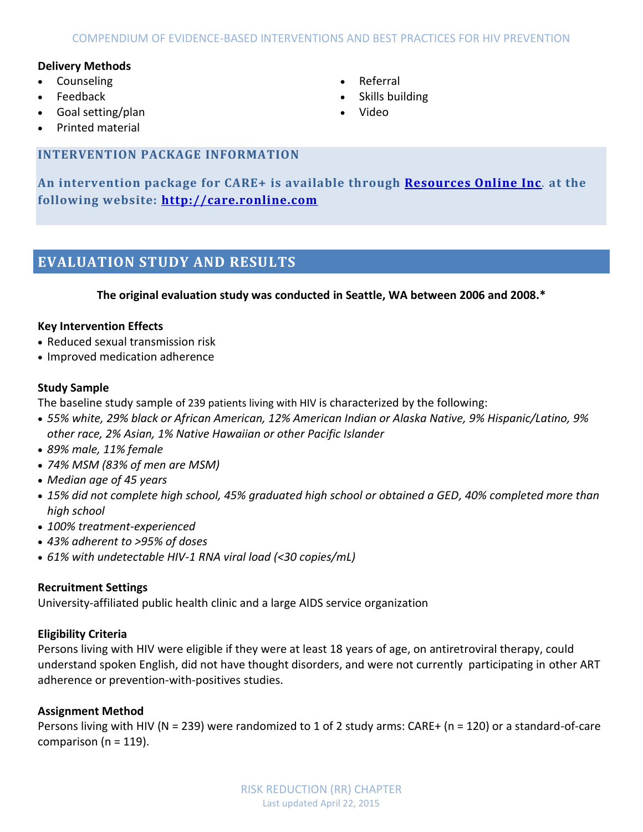#### **Delivery Methods**

- Counseling
- Feedback
- Goal setting/plan
- Printed material

# **INTERVENTION PACKAGE INFORMATION**

**An intervention package for CARE+ is available through [Resources Online Inc](mailto:info@ronline.com)**. **at the following website: [http://care.ronline.com](http://care.ronline.com/)**

# **EVALUATION STUDY AND RESULTS**

#### **The original evaluation study was conducted in Seattle, WA between 2006 and 2008.\***

#### **Key Intervention Effects**

- Reduced sexual transmission risk
- Improved medication adherence

#### **Study Sample**

The baseline study sample of 239 patients living with HIV is characterized by the following:

- *55% white, 29% black or African American, 12% American Indian or Alaska Native, 9% Hispanic/Latino, 9% other race, 2% Asian, 1% Native Hawaiian or other Pacific Islander*
- *89% male, 11% female*
- *74% MSM (83% of men are MSM)*
- *Median age of 45 years*
- *15% did not complete high school, 45% graduated high school or obtained a GED, 40% completed more than high school*
- *100% treatment-experienced*
- *43% adherent to >95% of doses*
- *61% with undetectable HIV-1 RNA viral load (<30 copies/mL)*

#### **Recruitment Settings**

University-affiliated public health clinic and a large AIDS service organization

#### **Eligibility Criteria**

Persons living with HIV were eligible if they were at least 18 years of age, on antiretroviral therapy, could understand spoken English, did not have thought disorders, and were not currently participating in other ART adherence or prevention-with-positives studies.

#### **Assignment Method**

Persons living with HIV (N = 239) were randomized to 1 of 2 study arms: CARE+ (n = 120) or a standard-of-care comparison ( $n = 119$ ).

- Referral
- Skills building
- Video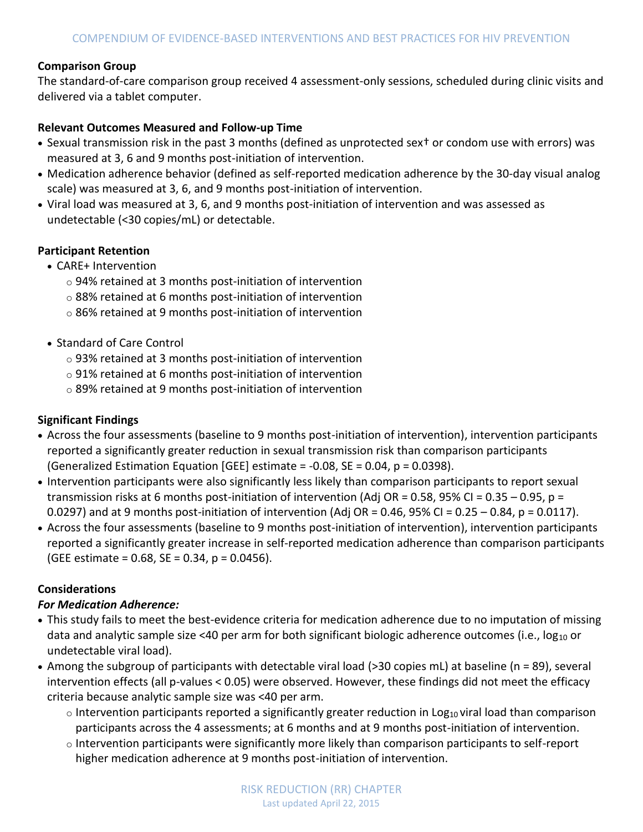## **Comparison Group**

The standard-of-care comparison group received 4 assessment-only sessions, scheduled during clinic visits and delivered via a tablet computer.

## **Relevant Outcomes Measured and Follow-up Time**

- Sexual transmission risk in the past 3 months (defined as unprotected sext or condom use with errors) was measured at 3, 6 and 9 months post-initiation of intervention.
- Medication adherence behavior (defined as self-reported medication adherence by the 30-day visual analog scale) was measured at 3, 6, and 9 months post-initiation of intervention.
- Viral load was measured at 3, 6, and 9 months post-initiation of intervention and was assessed as undetectable (<30 copies/mL) or detectable.

#### **Participant Retention**

- CARE+ Intervention
	- o 94% retained at 3 months post-initiation of intervention
	- o 88% retained at 6 months post-initiation of intervention
	- o 86% retained at 9 months post-initiation of intervention
- Standard of Care Control
	- o 93% retained at 3 months post-initiation of intervention
	- o 91% retained at 6 months post-initiation of intervention
	- o 89% retained at 9 months post-initiation of intervention

# **Significant Findings**

- Across the four assessments (baseline to 9 months post-initiation of intervention), intervention participants reported a significantly greater reduction in sexual transmission risk than comparison participants (Generalized Estimation Equation [GEE] estimate =  $-0.08$ , SE = 0.04, p = 0.0398).
- Intervention participants were also significantly less likely than comparison participants to report sexual transmission risks at 6 months post-initiation of intervention (Adj OR = 0.58, 95% CI = 0.35 – 0.95, p = 0.0297) and at 9 months post-initiation of intervention (Adj OR = 0.46, 95% CI = 0.25 - 0.84, p = 0.0117).
- Across the four assessments (baseline to 9 months post-initiation of intervention), intervention participants reported a significantly greater increase in self-reported medication adherence than comparison participants (GEE estimate =  $0.68$ , SE =  $0.34$ , p =  $0.0456$ ).

# **Considerations**

# *For Medication Adherence:*

- This study fails to meet the best-evidence criteria for medication adherence due to no imputation of missing data and analytic sample size <40 per arm for both significant biologic adherence outcomes (i.e., log<sub>10</sub> or undetectable viral load).
- Among the subgroup of participants with detectable viral load (>30 copies mL) at baseline (n = 89), several intervention effects (all p-values < 0.05) were observed. However, these findings did not meet the efficacy criteria because analytic sample size was <40 per arm.
	- $\circ$  Intervention participants reported a significantly greater reduction in Log<sub>10</sub> viral load than comparison participants across the 4 assessments; at 6 months and at 9 months post-initiation of intervention.
	- $\circ$  Intervention participants were significantly more likely than comparison participants to self-report higher medication adherence at 9 months post-initiation of intervention.